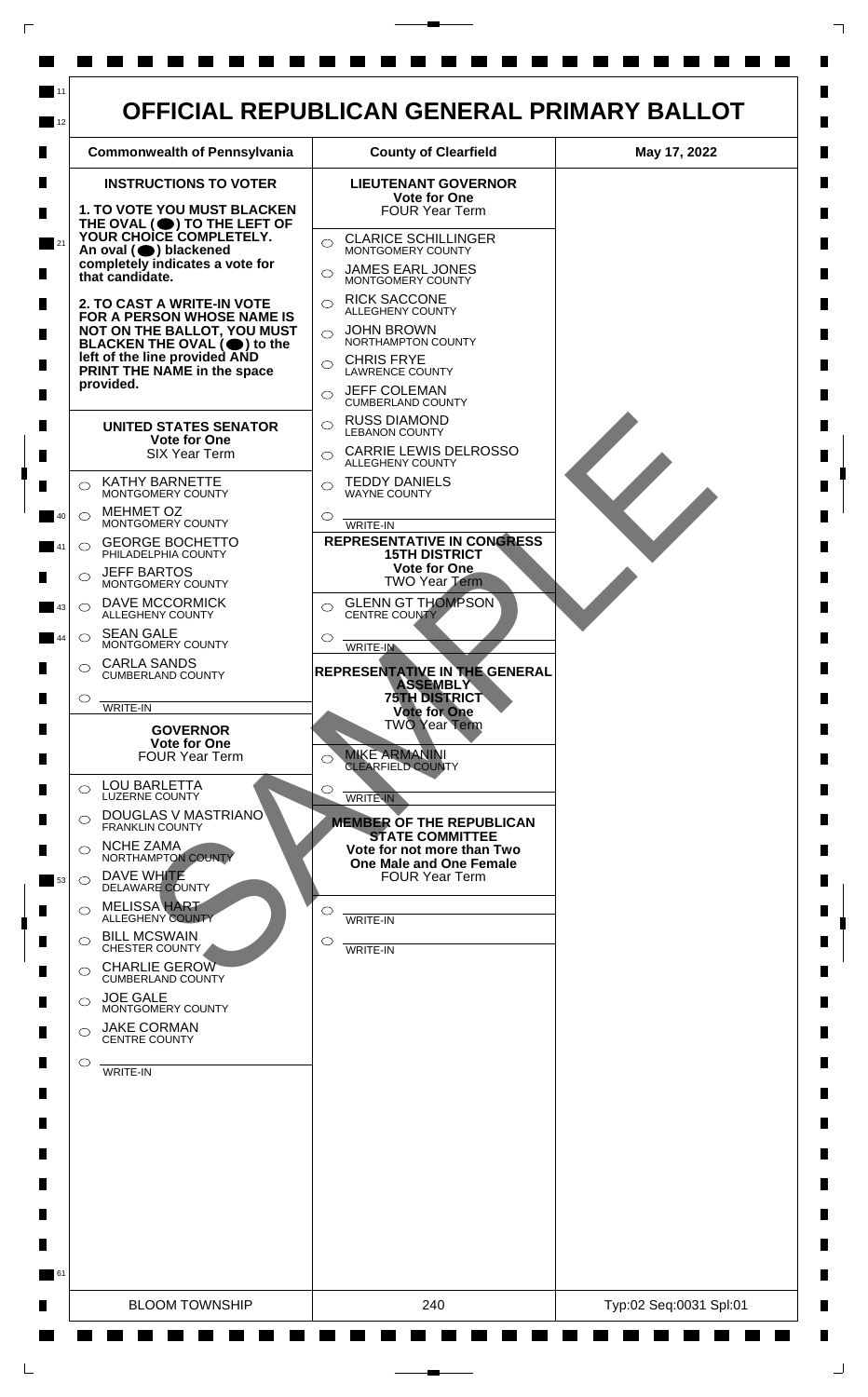

 $\mathsf{L}$ 

 $\Box$